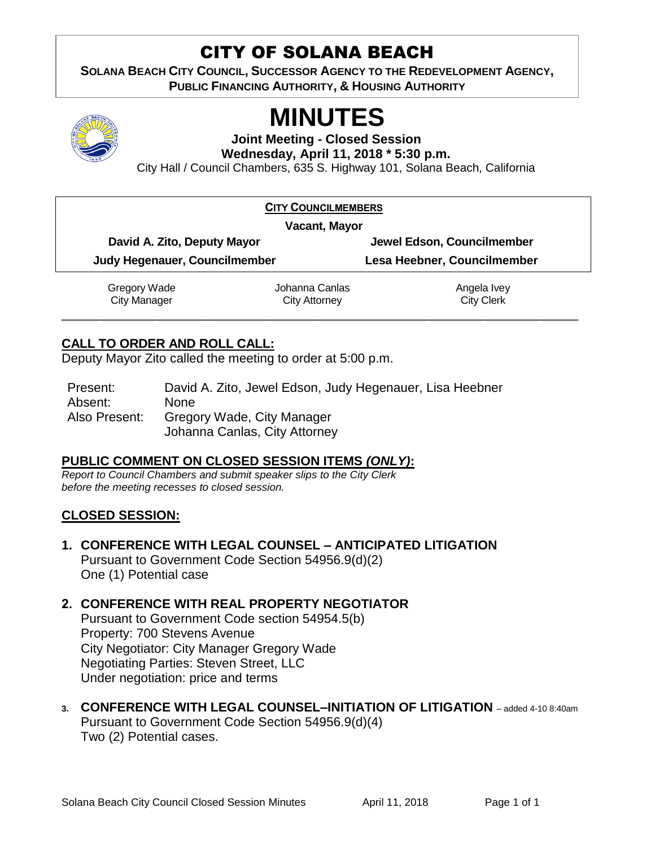## CITY OF SOLANA BEACH

**SOLANA BEACH CITY COUNCIL, SUCCESSOR AGENCY TO THE REDEVELOPMENT AGENCY, PUBLIC FINANCING AUTHORITY, & HOUSING AUTHORITY** 



# **MINUTES**

**Joint Meeting - Closed Session**

**Wednesday, April 11, 2018 \* 5:30 p.m.**

City Hall / Council Chambers, 635 S. Highway 101, Solana Beach, California

| <b>CITY COUNCILMEMBERS</b>    |                      |                             |
|-------------------------------|----------------------|-----------------------------|
| Vacant, Mayor                 |                      |                             |
| David A. Zito, Deputy Mayor   |                      | Jewel Edson, Councilmember  |
| Judy Hegenauer, Councilmember |                      | Lesa Heebner, Councilmember |
| Gregory Wade                  | Johanna Canlas       | Angela Ivey                 |
| <b>City Manager</b>           | <b>City Attorney</b> | <b>City Clerk</b>           |
|                               |                      |                             |

#### **CALL TO ORDER AND ROLL CALL:**

Deputy Mayor Zito called the meeting to order at 5:00 p.m.

Present: David A. Zito, Jewel Edson, Judy Hegenauer, Lisa Heebner Absent: None Also Present: Gregory Wade, City Manager Johanna Canlas, City Attorney

#### **PUBLIC COMMENT ON CLOSED SESSION ITEMS** *(ONLY)***:**

*Report to Council Chambers and submit speaker slips to the City Clerk before the meeting recesses to closed session.*

#### **CLOSED SESSION:**

**1. CONFERENCE WITH LEGAL COUNSEL – ANTICIPATED LITIGATION**  Pursuant to Government Code Section 54956.9(d)(2)

One (1) Potential case

#### **2. CONFERENCE WITH REAL PROPERTY NEGOTIATOR**

Pursuant to Government Code section 54954.5(b) Property: 700 Stevens Avenue City Negotiator: City Manager Gregory Wade Negotiating Parties: Steven Street, LLC Under negotiation: price and terms

**3. CONFERENCE WITH LEGAL COUNSEL–INITIATION OF LITIGATION** – added 4-10 8:40am Pursuant to Government Code Section 54956.9(d)(4) Two (2) Potential cases.